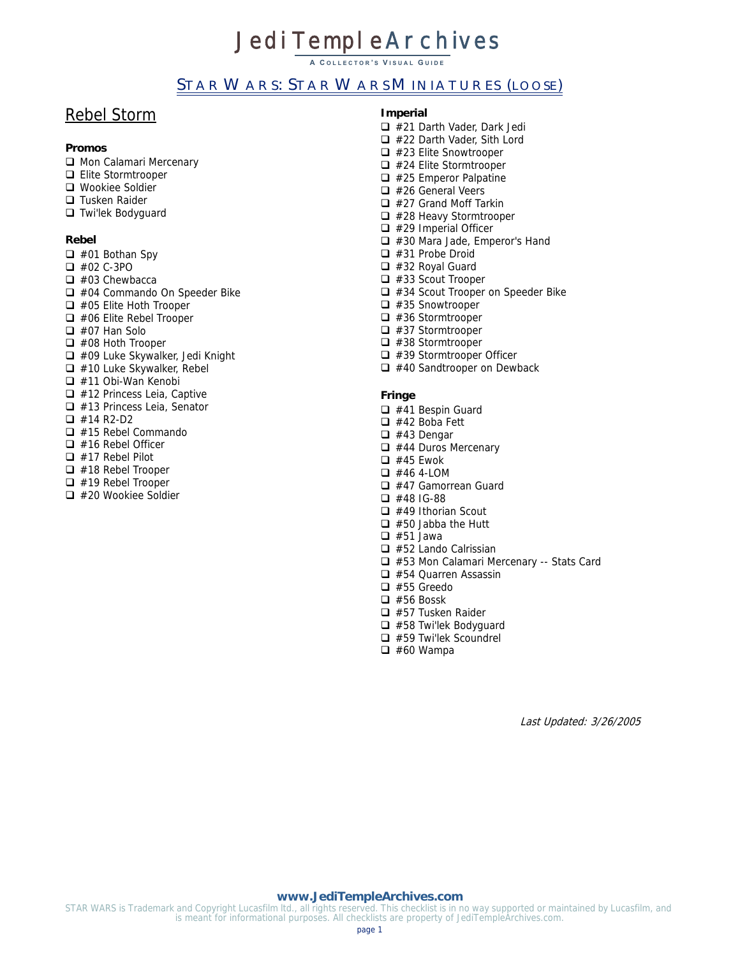**A C OLLECTOR ' S V ISUAL G UIDE**

# STAR WARS: STAR WARS MINIATURES (LOOSE)

# Rebel Storm

## **Promos**

- Mon Calamari Mercenary
- Elite Stormtrooper
- Wookiee Soldier
- □ Tusken Raider
- □ Twi'lek Bodyguard

#### **Rebel**

- $\Box$  #01 Bothan Spy
- #02 C-3PO
- $\Box$  #03 Chewbacca
- □ #04 Commando On Speeder Bike
- $\Box$  #05 Elite Hoth Trooper
- $\Box$  #06 Elite Rebel Trooper
- #07 Han Solo
- □ #08 Hoth Trooper
- $\Box$  #09 Luke Skywalker, Jedi Knight
- $\Box$  #10 Luke Skywalker, Rebel
- $\Box$  #11 Obi-Wan Kenobi
- $\Box$  #12 Princess Leia, Captive
- □ #13 Princess Leia, Senator
- $\Box$  #14 R2-D2
- □ #15 Rebel Commando
- $\Box$  #16 Rebel Officer
- #17 Rebel Pilot
- $\Box$  #18 Rebel Trooper
- $\Box$  #19 Rebel Trooper
- □ #20 Wookiee Soldier

#### **Imperial**

- □ #21 Darth Vader, Dark Jedi □ #22 Darth Vader, Sith Lord  $\Box$  #23 Elite Snowtrooper  $\Box$  #24 Elite Stormtrooper  $\Box$  #25 Emperor Palpatine  $\Box$  #26 General Veers  $\Box$  #27 Grand Moff Tarkin  $\Box$  #28 Heavy Stormtrooper  $\Box$  #29 Imperial Officer □ #30 Mara Jade, Emperor's Hand #31 Probe Droid #32 Royal Guard  $\Box$  #33 Scout Trooper □ #34 Scout Trooper on Speeder Bike  $\Box$  #35 Snowtrooper  $\Box$  #36 Stormtrooper  $\Box$  #37 Stormtrooper  $\Box$  #38 Stormtrooper
- $\Box$  #39 Stormtrooper Officer
- $\Box$  #40 Sandtrooper on Dewback
- 

#### **Fringe**

- $\Box$  #41 Bespin Guard
- #42 Boba Fett
- $\Box$  #43 Dengar
- $\Box$  #44 Duros Mercenary
- $\Box$  #45 Ewok
- $\Box$  #46 4-LOM
- □ #47 Gamorrean Guard
- $\Box$  #48 IG-88
- $\Box$  #49 Ithorian Scout
- $\Box$  #50 Jabba the Hutt  $\Box$  #51 Jawa
- $\Box$  #52 Lando Calrissian
- □ #53 Mon Calamari Mercenary -- Stats Card
- $\Box$  #54 Quarren Assassin
- $\Box$  #55 Greedo
- $\Box$  #56 Bossk
- □ #57 Tusken Raider
- $\Box$  #58 Twillek Bodyguard
- □ #59 Twi'lek Scoundrel
- $\Box$  #60 Wampa

Last Updated: 3/26/2005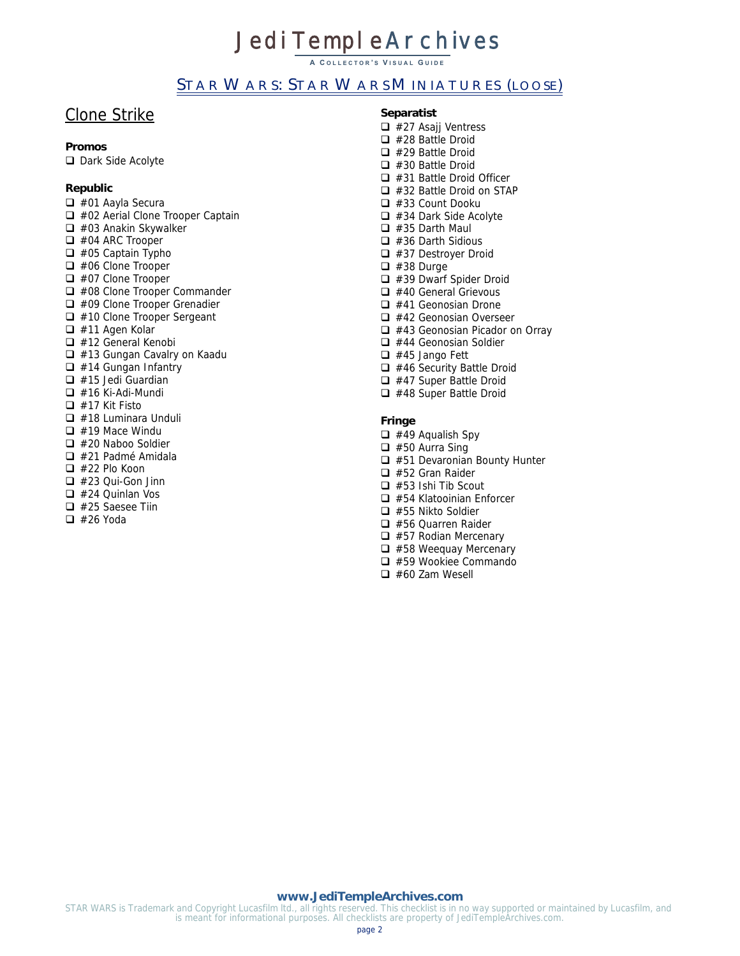**A C OLLECTOR ' S V ISUAL G UIDE**

# STAR WARS: STAR WARS MINIATURES (LOOSE)

# Clone Strike

#### **Promos**

Dark Side Acolyte

## **Republic**

 #01 Aayla Secura □ #02 Aerial Clone Trooper Captain  $\Box$  #03 Anakin Skywalker  $\Box$  #04 ARC Trooper  $\Box$  #05 Captain Typho  $\Box$  #06 Clone Trooper  $\Box$  #07 Clone Trooper □ #08 Clone Trooper Commander □ #09 Clone Trooper Grenadier □ #10 Clone Trooper Sergeant  $\Box$  #11 Agen Kolar □ #12 General Kenobi □ #13 Gungan Cavalry on Kaadu  $\Box$  #14 Gungan Infantry  $\Box$  #15 Jedi Guardian  $\Box$  #16 Ki-Adi-Mundi  $\Box$  #17 Kit Fisto  $\Box$  #18 Luminara Unduli  $\Box$  #19 Mace Windu  $\Box$  #20 Naboo Soldier  $\Box$  #21 Padmé Amidala  $\Box$  #22 Plo Koon  $\Box$  #23 Oui-Gon Jinn  $\Box$  #24 Quinlan Vos  $\Box$  #25 Saesee Tiin

 $\Box$  #26 Yoda

#### **Separatist**

 $\Box$  #27 Asajj Ventress  $\Box$  #28 Battle Droid  $\Box$  #29 Battle Droid  $\Box$  #30 Battle Droid  $\Box$  #31 Battle Droid Officer  $\Box$  #32 Battle Droid on STAP #33 Count Dooku □ #34 Dark Side Acolyte  $\Box$  #35 Darth Maul  $\Box$  #36 Darth Sidious #37 Destroyer Droid  $\Box$  #38 Durge  $\Box$  #39 Dwarf Spider Droid  $\Box$  #40 General Grievous  $\Box$  #41 Geonosian Drone □ #42 Geonosian Overseer □ #43 Geonosian Picador on Orray  $\Box$  #44 Geonosian Soldier  $\Box$  #45 Jango Fett  $\Box$  #46 Security Battle Droid □ #47 Super Battle Droid  $\Box$  #48 Super Battle Droid

#### **Fringe**

 $\Box$  #49 Aqualish Spy

- $\Box$  #50 Aurra Sing
- $\Box$  #51 Devaronian Bounty Hunter
- □ #52 Gran Raider
- $\Box$  #53 Ishi Tib Scout
- $\Box$  #54 Klatooinian Enforcer
- $\Box$  #55 Nikto Soldier
- □ #56 Quarren Raider
- □ #57 Rodian Mercenary
- $\Box$  #58 Weequay Mercenary #59 Wookiee Commando
- $\Box$  #60 Zam Wesell
- 

#### **[www.JediTempleArchives.com](http://www.jeditemplearchives.com/)**

STAR WARS is Trademark and Copyright Lucasfilm ltd., all rights reserved. This checklist is in no way supported or maintained by Lucasfilm, and is meant for informational purposes. All checklists are property of JediTempleArchives.com.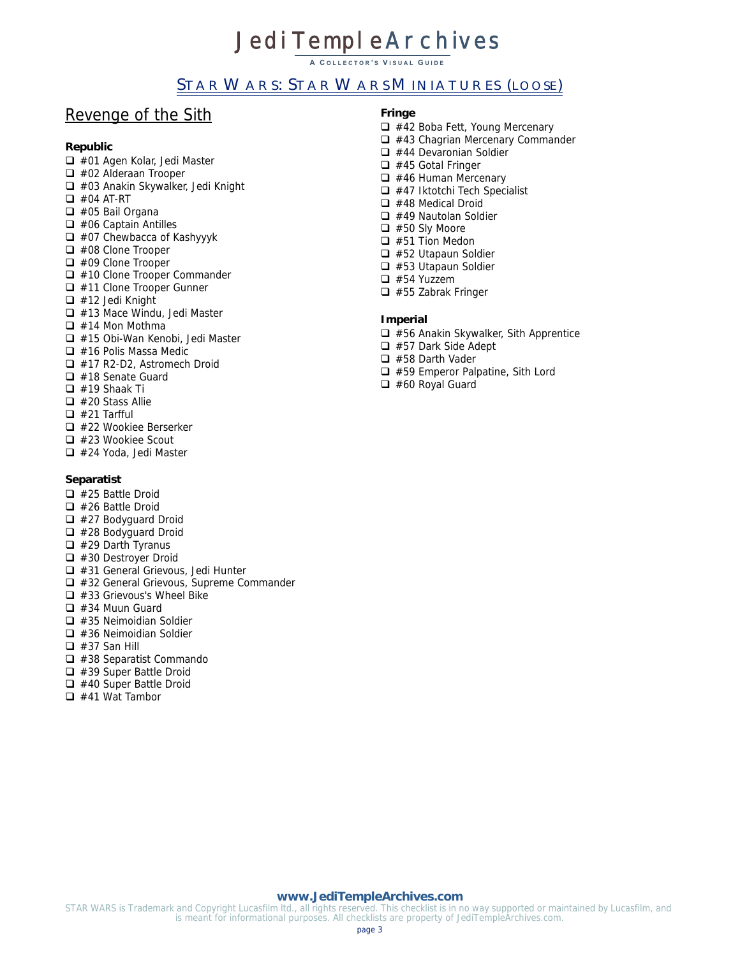**A C OLLECTOR ' S V ISUAL G UIDE**

# STAR WARS: STAR WARS MINIATURES (LOOSE)

# Revenge of the Sith

## **Republic**

- □ #01 Agen Kolar, Jedi Master
- □ #02 Alderaan Trooper
- □ #03 Anakin Skywalker, Jedi Knight
- $\Box$  #04 AT-RT
- $\Box$  #05 Bail Organa
- $\Box$  #06 Captain Antilles
- $\Box$  #07 Chewbacca of Kashyyyk
- □ #08 Clone Trooper
- $\Box$  #09 Clone Trooper
- $\Box$  #10 Clone Trooper Commander
- $\Box$  #11 Clone Trooper Gunner
- $\Box$  #12 Jedi Knight
- □ #13 Mace Windu, Jedi Master
- $\Box$  #14 Mon Mothma
- □ #15 Obi-Wan Kenobi, Jedi Master
- $\Box$  #16 Polis Massa Medic
- □ #17 R2-D2, Astromech Droid
- $\Box$  #18 Senate Guard
- $\Box$  #19 Shaak Ti
- $\Box$  #20 Stass Allie
- $\Box$  #21 Tarfful
- □ #22 Wookiee Berserker
- □ #23 Wookiee Scout
- □ #24 Yoda, Jedi Master

#### **Separatist**

- $\Box$  #25 Battle Droid
- $\Box$  #26 Battle Droid
- $\Box$  #27 Bodyguard Droid
- □ #28 Bodyguard Droid
- $\Box$  #29 Darth Tyranus
- □ #30 Destroyer Droid
- □ #31 General Grievous, Jedi Hunter
- □ #32 General Grievous, Supreme Commander
- $\Box$  #33 Grievous's Wheel Bike
- $\Box$  #34 Muun Guard
- $\Box$  #35 Neimoidian Soldier
- $\Box$  #36 Neimoidian Soldier
- $\Box$  #37 San Hill
- $\Box$  #38 Separatist Commando
- □ #39 Super Battle Droid
- $\Box$  #40 Super Battle Droid
- $\Box$  #41 Wat Tambor

#### **Fringe**

- $\Box$  #42 Boba Fett, Young Mercenary
- $\Box$  #43 Chagrian Mercenary Commander
- $\Box$  #44 Devaronian Soldier
- $\Box$  #45 Gotal Fringer
- $\Box$  #46 Human Mercenary
- $\Box$  #47 Iktotchi Tech Specialist
- $\Box$  #48 Medical Droid
- $\Box$  #49 Nautolan Soldier
- $\Box$  #50 Sly Moore
- $\Box$  #51 Tion Medon
- $\Box$  #52 Utapaun Soldier
- $\Box$  #53 Utapaun Soldier
- □ #54 Yuzzem
- $\Box$  #55 Zabrak Fringer

## **Imperial**

- $\Box$  #56 Anakin Skywalker, Sith Apprentice
- #57 Dark Side Adept
- □ #58 Darth Vader
- □ #59 Emperor Palpatine, Sith Lord
- $\Box$  #60 Royal Guard

#### **[www.JediTempleArchives.com](http://www.jeditemplearchives.com/)**

STAR WARS is Trademark and Copyright Lucasfilm ltd., all rights reserved. This checklist is in no way supported or maintained by Lucasfilm, and is meant for informational purposes. All checklists are property of JediTempleArchives.com.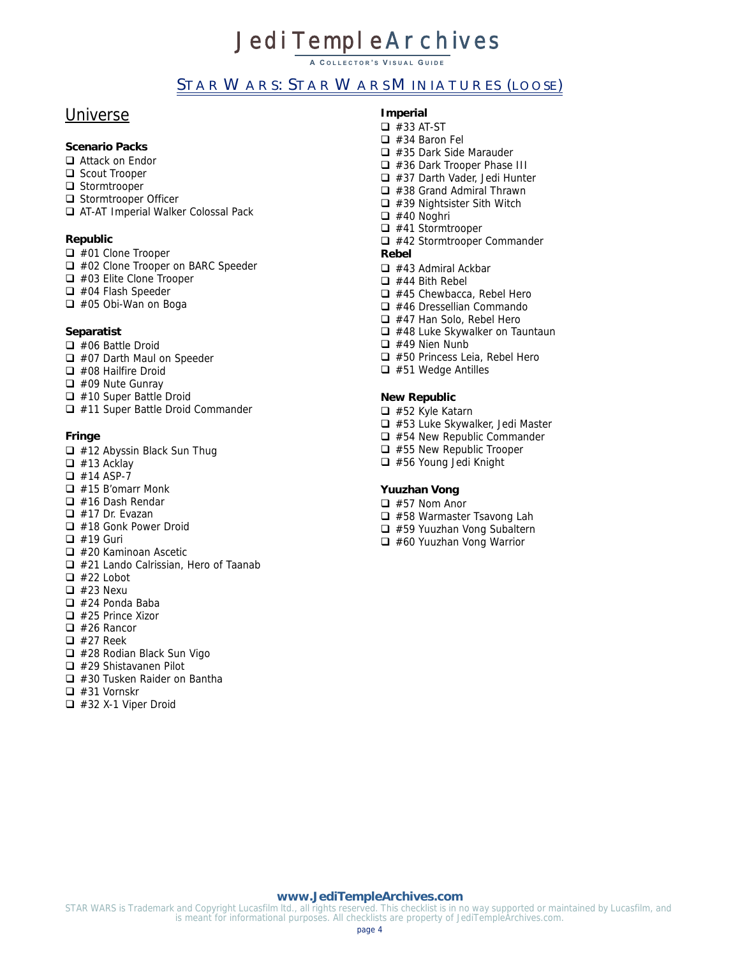**A C OLLECTOR ' S V ISUAL G UIDE**

# STAR WARS: STAR WARS MINIATURES (LOOSE)

# Universe

## **Scenario Packs**

- □ Attack on Endor
- □ Scout Trooper
- $\Box$  Stormtrooper
- Stormtrooper Officer
- AT-AT Imperial Walker Colossal Pack

#### **Republic**

- □ #01 Clone Trooper
- □ #02 Clone Trooper on BARC Speeder
- $\Box$  #03 Elite Clone Trooper
- □ #04 Flash Speeder
- □ #05 Obi-Wan on Boga

#### **Separatist**

- #06 Battle Droid
- □ #07 Darth Maul on Speeder
- □ #08 Hailfire Droid
- #09 Nute Gunray
- $\Box$  #10 Super Battle Droid
- □ #11 Super Battle Droid Commander

## **Fringe**

- $\Box$  #12 Abyssin Black Sun Thug
- $\Box$  #13 Acklay
- $\Box$  #14 ASP-7
- $\Box$  #15 B'omarr Monk
- $\Box$  #16 Dash Rendar
- $\Box$  #17 Dr. Evazan
- $\Box$  #18 Gonk Power Droid
- $\Box$  #19 Guri
- $\Box$  #20 Kaminoan Ascetic
- $\Box$  #21 Lando Calrissian, Hero of Taanab
- $\Box$  #22 Lobot
- $\Box$  #23 Nexu
- $\Box$  #24 Ponda Baba
- $\Box$  #25 Prince Xizor
- $\Box$  #26 Rancor
- $\Box$  #27 Reek
- $\Box$  #28 Rodian Black Sun Vigo
- #29 Shistavanen Pilot
- □ #30 Tusken Raider on Bantha
- $\Box$  #31 Vornskr
- $\Box$  #32 X-1 Viper Droid

## **Imperial**

- $\Box$  #33 AT-ST
- □ #34 Baron Fel  $\Box$  #35 Dark Side Marauder
- □ #36 Dark Trooper Phase III
- □ #37 Darth Vader, Jedi Hunter
- $\Box$  #38 Grand Admiral Thrawn
- $\Box$  #39 Nightsister Sith Witch
- $\Box$  #40 Noghri
- $\Box$  #41 Stormtrooper
- □ #42 Stormtrooper Commander **Rebel**

- $\Box$  #43 Admiral Ackbar
- $\Box$  #44 Bith Rebel
- $\Box$  #45 Chewbacca, Rebel Hero
- $\Box$  #46 Dressellian Commando
- □ #47 Han Solo, Rebel Hero
- $\Box$  #48 Luke Skywalker on Tauntaun
- $\Box$  #49 Nien Nunb
- □ #50 Princess Leia, Rebel Hero  $\Box$  #51 Wedge Antilles
- 

# **New Republic**

- □ #52 Kyle Katarn
- $\Box$  #53 Luke Skywalker, Jedi Master
- $\Box$  #54 New Republic Commander
- $\Box$  #55 New Republic Trooper
- #56 Young Jedi Knight

#### **Yuuzhan Vong**

- $\Box$  #57 Nom Anor
- □ #58 Warmaster Tsavong Lah
- □ #59 Yuuzhan Vong Subaltern
- $\Box$  #60 Yuuzhan Vong Warrior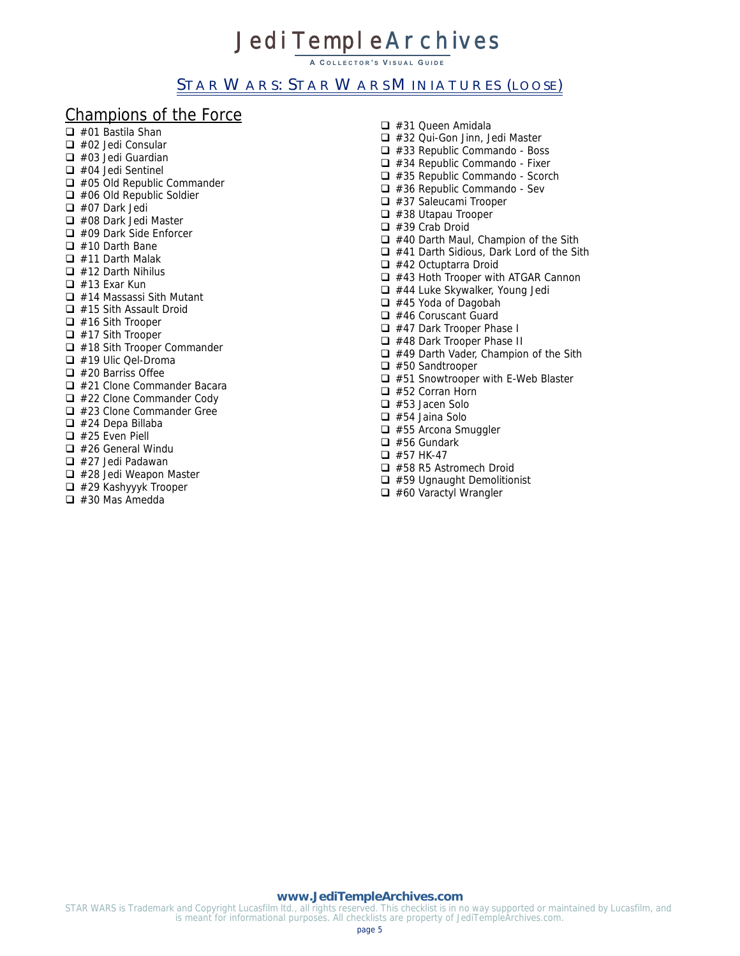**A C OLLECTOR ' S V ISUAL G UIDE**

# STAR WARS: STAR WARS MINIATURES (LOOSE)

# Champions of the Force

- $\Box$  #01 Bastila Shan  $\Box$  #02 Jedi Consular  $\Box$  #03 Jedi Guardian  $\Box$  #04 Jedi Sentinel  $\Box$  #05 Old Republic Commander  $\Box$  #06 Old Republic Soldier
- $\Box$  #07 Dark Jedi
- □ #08 Dark Jedi Master
- □ #09 Dark Side Enforcer
- $\Box$  #10 Darth Bane
- $\Box$  #11 Darth Malak
- $\Box$  #12 Darth Nihilus
- $\Box$  #13 Exar Kun
- $\Box$  #14 Massassi Sith Mutant
- $\Box$  #15 Sith Assault Droid
- $\Box$  #16 Sith Trooper
- $\Box$  #17 Sith Trooper
- $\Box$  #18 Sith Trooper Commander
- $\Box$  #19 Ulic Qel-Droma
- $\Box$  #20 Barriss Offee
- $\Box$  #21 Clone Commander Bacara
- $\Box$  #22 Clone Commander Cody
- $\Box$  #23 Clone Commander Gree
- $\Box$  #24 Depa Billaba
- $\Box$  #25 Even Piell
- $\Box$  #26 General Windu
- $\Box$  #27 Jedi Padawan
- $\Box$  #28 Jedi Weapon Master
- □ #29 Kashyyyk Trooper
- $\Box$  #30 Mas Amedda
- $\Box$  #31 Queen Amidala □ #32 Qui-Gon Jinn, Jedi Master  $\Box$  #33 Republic Commando - Boss  $\Box$  #34 Republic Commando - Fixer  $\Box$  #35 Republic Commando - Scorch  $\Box$  #36 Republic Commando - Sev  $\Box$  #37 Saleucami Trooper  $\Box$  #38 Utapau Trooper  $\Box$  #39 Crab Droid  $\Box$  #40 Darth Maul, Champion of the Sith □ #41 Darth Sidious, Dark Lord of the Sith  $\Box$  #42 Octuptarra Droid  $\Box$  #43 Hoth Trooper with ATGAR Cannon  $\Box$  #44 Luke Skywalker, Young Jedi  $\Box$  #45 Yoda of Dagobah  $\Box$  #46 Coruscant Guard □ #47 Dark Trooper Phase I  $\Box$  #48 Dark Trooper Phase II  $\Box$  #49 Darth Vader, Champion of the Sith  $\Box$  #50 Sandtrooper  $\Box$  #51 Snowtrooper with E-Web Blaster □ #52 Corran Horn  $\Box$  #53 Jacen Solo  $\Box$  #54 Jaina Solo □ #55 Arcona Smuggler  $\Box$  #56 Gundark  $\Box$  #57 HK-47 □ #58 R5 Astromech Droid
	- $\Box$  #59 Ugnaught Demolitionist
	- $\Box$  #60 Varactyl Wrangler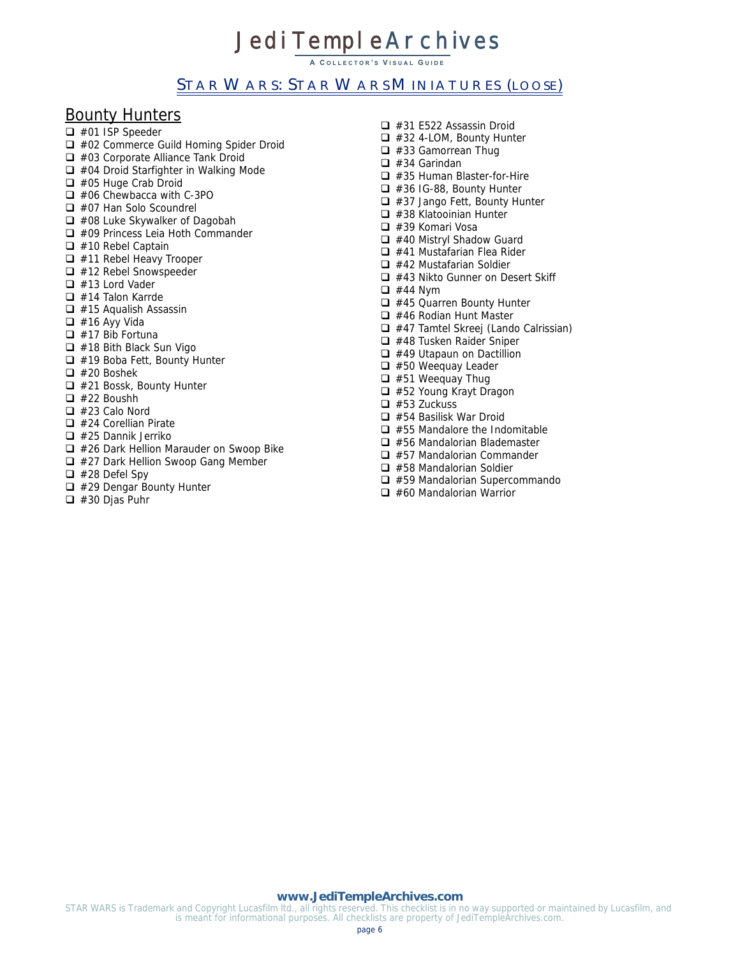**A C OLLECTOR ' S V ISUAL G UIDE**

# STAR WARS: STAR WARS MINIATURES (LOOSE)

# Bounty Hunters

- □ #01 ISP Speeder
- □ #02 Commerce Guild Homing Spider Droid
- □ #03 Corporate Alliance Tank Droid
- □ #04 Droid Starfighter in Walking Mode
- □ #05 Huge Crab Droid
- □ #06 Chewbacca with C-3PO
- □ #07 Han Solo Scoundrel
- $\Box$  #08 Luke Skywalker of Dagobah
- □ #09 Princess Leia Hoth Commander
- $\Box$  #10 Rebel Captain
- $\Box$  #11 Rebel Heavy Trooper
- $\Box$  #12 Rebel Snowspeeder
- $\Box$  #13 Lord Vader
- $\Box$  #14 Talon Karrde
- $\Box$  #15 Aqualish Assassin
- $\Box$  #16 Ayy Vida
- $\Box$  #17 Bib Fortuna
- $\Box$  #18 Bith Black Sun Vigo
- □ #19 Boba Fett, Bounty Hunter
- $\Box$  #20 Boshek
- $\Box$  #21 Bossk, Bounty Hunter
- $\Box$  #22 Boushh
- $\Box$  #23 Calo Nord
- $\Box$  #24 Corellian Pirate
- $\Box$  #25 Dannik Jerriko
- $\Box$  #26 Dark Hellion Marauder on Swoop Bike
- $\Box$  #27 Dark Hellion Swoop Gang Member
- $\Box$  #28 Defel Spy
- $\Box$  #29 Dengar Bounty Hunter
- $\Box$  #30 Djas Puhr
- $\Box$  #31 E522 Assassin Droid □ #32 4-LOM, Bounty Hunter  $\Box$  #33 Gamorrean Thug  $\Box$  #34 Garindan  $\Box$  #35 Human Blaster-for-Hire  $\Box$  #36 IG-88, Bounty Hunter  $\Box$  #37 Jango Fett, Bounty Hunter  $\Box$  #38 Klatooinian Hunter  $\Box$  #39 Komari Vosa □ #40 Mistryl Shadow Guard  $\Box$  #41 Mustafarian Flea Rider  $\Box$  #42 Mustafarian Soldier  $\Box$  #43 Nikto Gunner on Desert Skiff  $\Box$  #44 Nym  $\Box$  #45 Quarren Bounty Hunter  $\Box$  #46 Rodian Hunt Master □ #47 Tamtel Skreej (Lando Calrissian)  $\Box$  #48 Tusken Raider Sniper  $\Box$  #49 Utapaun on Dactillion  $\Box$  #50 Weequay Leader  $\Box$  #51 Weequay Thug □ #52 Young Krayt Dragon  $\Box$  #53 Zuckuss  $\Box$  #54 Basilisk War Droid  $\Box$  #55 Mandalore the Indomitable  $\Box$  #56 Mandalorian Blademaster
	- $\Box$  #57 Mandalorian Commander
	- $\Box$  #58 Mandalorian Soldier
	- □ #59 Mandalorian Supercommando
	- $\Box$  #60 Mandalorian Warrior